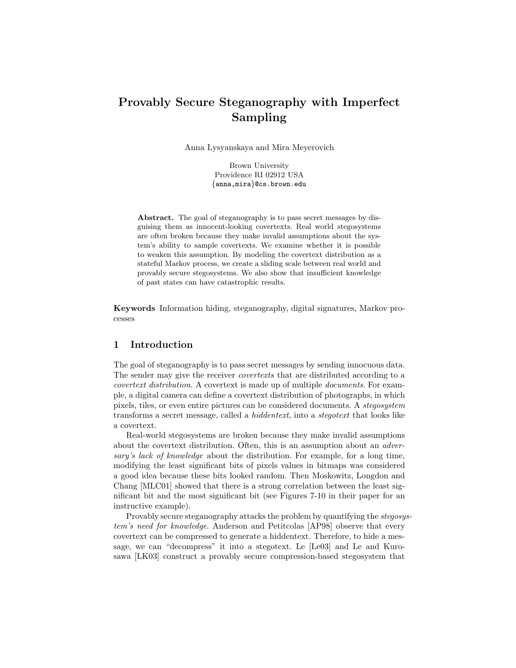# Provably Secure Steganography with Imperfect Sampling

Anna Lysyanskaya and Mira Meyerovich

Brown University Providence RI 02912 USA {anna,mira}@cs.brown.edu

Abstract. The goal of steganography is to pass secret messages by disguising them as innocent-looking covertexts. Real world stegosystems are often broken because they make invalid assumptions about the system's ability to sample covertexts. We examine whether it is possible to weaken this assumption. By modeling the covertext distribution as a stateful Markov process, we create a sliding scale between real world and provably secure stegosystems. We also show that insufficient knowledge of past states can have catastrophic results.

Keywords Information hiding, steganography, digital signatures, Markov processes

## 1 Introduction

The goal of steganography is to pass secret messages by sending innocuous data. The sender may give the receiver covertexts that are distributed according to a covertext distribution. A covertext is made up of multiple documents. For example, a digital camera can define a covertext distribution of photographs, in which pixels, tiles, or even entire pictures can be considered documents. A stegosystem transforms a secret message, called a hiddentext, into a stegotext that looks like a covertext.

Real-world stegosystems are broken because they make invalid assumptions about the covertext distribution. Often, this is an assumption about an adversary's lack of knowledge about the distribution. For example, for a long time, modifying the least significant bits of pixels values in bitmaps was considered a good idea because these bits looked random. Then Moskowitz, Longdon and Chang [MLC01] showed that there is a strong correlation between the least significant bit and the most significant bit (see Figures 7-10 in their paper for an instructive example).

Provably secure steganography attacks the problem by quantifying the stegosystem's need for knowledge. Anderson and Petitcolas [AP98] observe that every covertext can be compressed to generate a hiddentext. Therefore, to hide a message, we can "decompress" it into a stegotext. Le [Le03] and Le and Kurosawa [LK03] construct a provably secure compression-based stegosystem that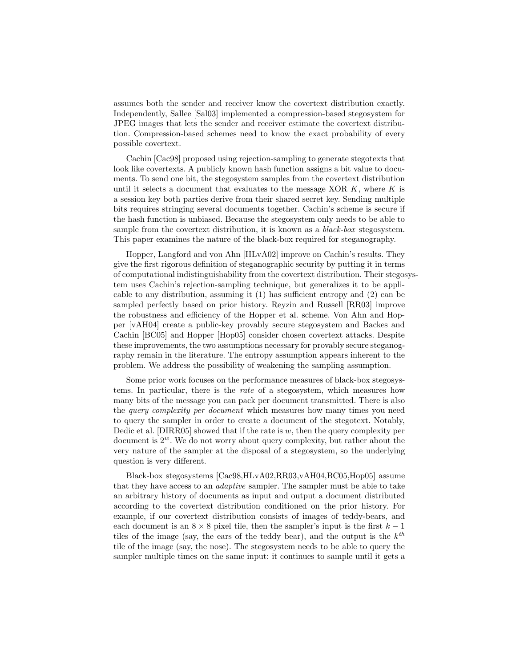assumes both the sender and receiver know the covertext distribution exactly. Independently, Sallee [Sal03] implemented a compression-based stegosystem for JPEG images that lets the sender and receiver estimate the covertext distribution. Compression-based schemes need to know the exact probability of every possible covertext.

Cachin [Cac98] proposed using rejection-sampling to generate stegotexts that look like covertexts. A publicly known hash function assigns a bit value to documents. To send one bit, the stegosystem samples from the covertext distribution until it selects a document that evaluates to the message XOR  $K$ , where  $K$  is a session key both parties derive from their shared secret key. Sending multiple bits requires stringing several documents together. Cachin's scheme is secure if the hash function is unbiased. Because the stegosystem only needs to be able to sample from the covertext distribution, it is known as a *black-box* stegosystem. This paper examines the nature of the black-box required for steganography.

Hopper, Langford and von Ahn [HLvA02] improve on Cachin's results. They give the first rigorous definition of steganographic security by putting it in terms of computational indistinguishability from the covertext distribution. Their stegosystem uses Cachin's rejection-sampling technique, but generalizes it to be applicable to any distribution, assuming it  $(1)$  has sufficient entropy and  $(2)$  can be sampled perfectly based on prior history. Reyzin and Russell [RR03] improve the robustness and efficiency of the Hopper et al. scheme. Von Ahn and Hopper [vAH04] create a public-key provably secure stegosystem and Backes and Cachin [BC05] and Hopper [Hop05] consider chosen covertext attacks. Despite these improvements, the two assumptions necessary for provably secure steganography remain in the literature. The entropy assumption appears inherent to the problem. We address the possibility of weakening the sampling assumption.

Some prior work focuses on the performance measures of black-box stegosystems. In particular, there is the rate of a stegosystem, which measures how many bits of the message you can pack per document transmitted. There is also the query complexity per document which measures how many times you need to query the sampler in order to create a document of the stegotext. Notably, Dedic et al. [DIRR05] showed that if the rate is  $w$ , then the query complexity per document is  $2^w$ . We do not worry about query complexity, but rather about the very nature of the sampler at the disposal of a stegosystem, so the underlying question is very different.

Black-box stegosystems [Cac98,HLvA02,RR03,vAH04,BC05,Hop05] assume that they have access to an adaptive sampler. The sampler must be able to take an arbitrary history of documents as input and output a document distributed according to the covertext distribution conditioned on the prior history. For example, if our covertext distribution consists of images of teddy-bears, and each document is an  $8 \times 8$  pixel tile, then the sampler's input is the first  $k - 1$ tiles of the image (say, the ears of the teddy bear), and the output is the  $k^{th}$ tile of the image (say, the nose). The stegosystem needs to be able to query the sampler multiple times on the same input: it continues to sample until it gets a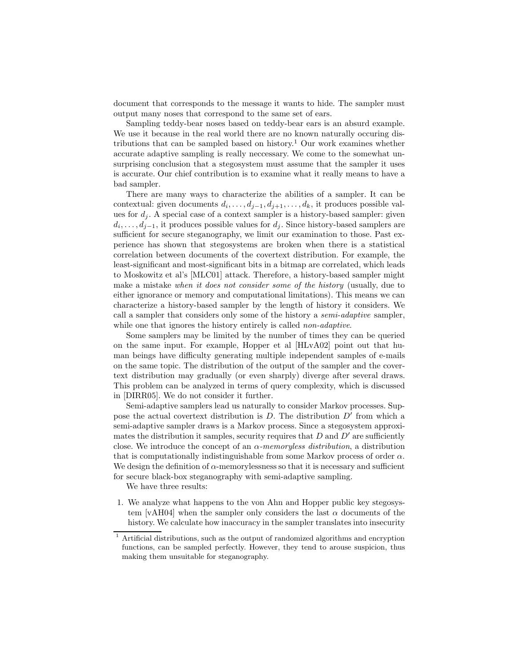document that corresponds to the message it wants to hide. The sampler must output many noses that correspond to the same set of ears.

Sampling teddy-bear noses based on teddy-bear ears is an absurd example. We use it because in the real world there are no known naturally occuring distributions that can be sampled based on history. <sup>1</sup> Our work examines whether accurate adaptive sampling is really neccessary. We come to the somewhat unsurprising conclusion that a stegosystem must assume that the sampler it uses is accurate. Our chief contribution is to examine what it really means to have a bad sampler.

There are many ways to characterize the abilities of a sampler. It can be contextual: given documents  $d_i, \ldots, d_{j-1}, d_{j+1}, \ldots, d_k$ , it produces possible values for  $d_i$ . A special case of a context sampler is a history-based sampler: given  $d_i, \ldots, d_{j-1}$ , it produces possible values for  $d_j$ . Since history-based samplers are sufficient for secure steganography, we limit our examination to those. Past experience has shown that stegosystems are broken when there is a statistical correlation between documents of the covertext distribution. For example, the least-significant and most-significant bits in a bitmap are correlated, which leads to Moskowitz et al's [MLC01] attack. Therefore, a history-based sampler might make a mistake when it does not consider some of the history (usually, due to either ignorance or memory and computational limitations). This means we can characterize a history-based sampler by the length of history it considers. We call a sampler that considers only some of the history a semi-adaptive sampler, while one that ignores the history entirely is called *non-adaptive*.

Some samplers may be limited by the number of times they can be queried on the same input. For example, Hopper et al [HLvA02] point out that human beings have difficulty generating multiple independent samples of e-mails on the same topic. The distribution of the output of the sampler and the covertext distribution may gradually (or even sharply) diverge after several draws. This problem can be analyzed in terms of query complexity, which is discussed in [DIRR05]. We do not consider it further.

Semi-adaptive samplers lead us naturally to consider Markov processes. Suppose the actual covertext distribution is  $D$ . The distribution  $D'$  from which a semi-adaptive sampler draws is a Markov process. Since a stegosystem approximates the distribution it samples, security requires that  $D$  and  $D'$  are sufficiently close. We introduce the concept of an  $\alpha$ -memoryless distribution, a distribution that is computationally indistinguishable from some Markov process of order  $\alpha$ . We design the definition of  $\alpha$ -memorylessness so that it is necessary and sufficient for secure black-box steganography with semi-adaptive sampling.

We have three results:

1. We analyze what happens to the von Ahn and Hopper public key stegosystem [vAH04] when the sampler only considers the last  $\alpha$  documents of the history. We calculate how inaccuracy in the sampler translates into insecurity

<sup>&</sup>lt;sup>1</sup> Artificial distributions, such as the output of randomized algorithms and encryption functions, can be sampled perfectly. However, they tend to arouse suspicion, thus making them unsuitable for steganography.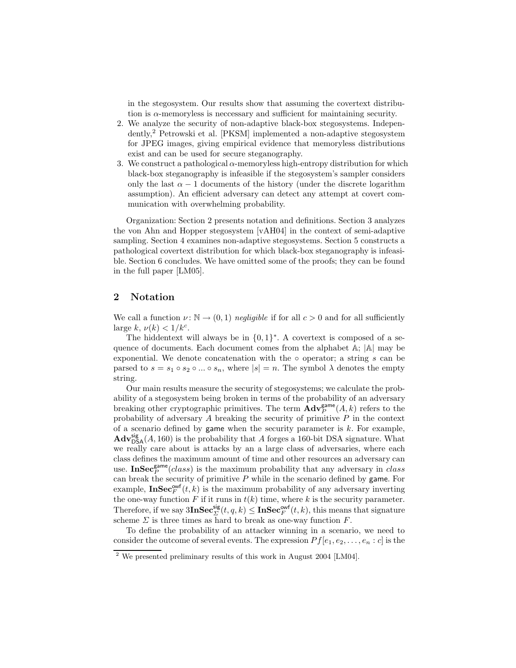in the stegosystem. Our results show that assuming the covertext distribution is  $\alpha$ -memoryless is necessary and sufficient for maintaining security.

- 2. We analyze the security of non-adaptive black-box stegosystems. Independently, <sup>2</sup> Petrowski et al. [PKSM] implemented a non-adaptive stegosystem for JPEG images, giving empirical evidence that memoryless distributions exist and can be used for secure steganography.
- 3. We construct a pathological  $\alpha$ -memoryless high-entropy distribution for which black-box steganography is infeasible if the stegosystem's sampler considers only the last  $\alpha - 1$  documents of the history (under the discrete logarithm assumption). An efficient adversary can detect any attempt at covert communication with overwhelming probability.

Organization: Section 2 presents notation and definitions. Section 3 analyzes the von Ahn and Hopper stegosystem [vAH04] in the context of semi-adaptive sampling. Section 4 examines non-adaptive stegosystems. Section 5 constructs a pathological covertext distribution for which black-box steganography is infeasible. Section 6 concludes. We have omitted some of the proofs; they can be found in the full paper [LM05].

# 2 Notation

We call a function  $\nu: \mathbb{N} \to (0, 1)$  negligible if for all  $c > 0$  and for all sufficiently large k,  $\nu(k) < 1/k^c$ .

The hiddentext will always be in  $\{0,1\}^*$ . A covertext is composed of a sequence of documents. Each document comes from the alphabet A; |A| may be exponential. We denote concatenation with the  $\circ$  operator; a string s can be parsed to  $s = s_1 \circ s_2 \circ ... \circ s_n$ , where  $|s| = n$ . The symbol  $\lambda$  denotes the empty string.

Our main results measure the security of stegosystems; we calculate the probability of a stegosystem being broken in terms of the probability of an adversary breaking other cryptographic primitives. The term  $\mathbf{Adv}_{P}^{\mathsf{game}}(A, k)$  refers to the probability of adversary  $A$  breaking the security of primitive  $P$  in the context of a scenario defined by game when the security parameter is  $k$ . For example,  $\mathbf{Adv}_{\mathsf{DSA}}^{\mathsf{sig}}(A, 160)$  is the probability that A forges a 160-bit DSA signature. What we really care about is attacks by an a large class of adversaries, where each class defines the maximum amount of time and other resources an adversary can use. **InSec**<sup>game</sup> (*class*) is the maximum probability that any adversary in *class* can break the security of primitive  $P$  while in the scenario defined by game. For example,  $\text{InSec}_{F}^{\text{owf}}(t, k)$  is the maximum probability of any adversary inverting the one-way function F if it runs in  $t(k)$  time, where k is the security parameter. Therefore, if we say  $3\mathbf{InSec}^{\mathsf{sig}}_{\Sigma}(t,q,k) \leq \mathbf{InSec}^{\mathsf{owf}}_F(t,k)$ , this means that signature scheme  $\Sigma$  is three times as hard to break as one-way function  $F$ .

To define the probability of an attacker winning in a scenario, we need to consider the outcome of several events. The expression  $Pf[e_1, e_2, \ldots, e_n : c]$  is the

<sup>2</sup> We presented preliminary results of this work in August 2004 [LM04].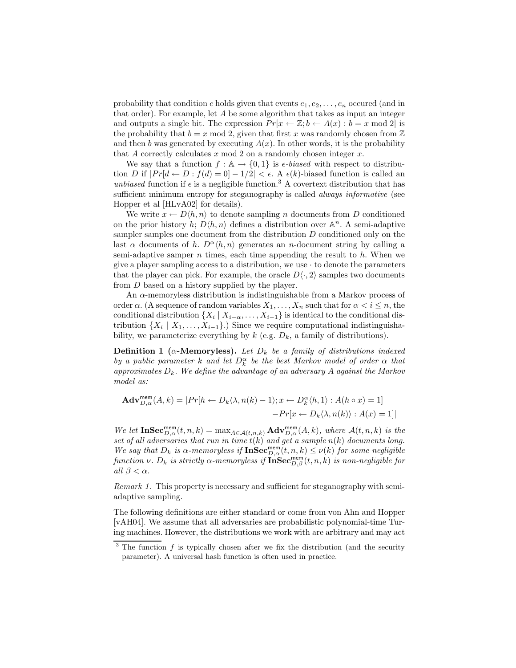probability that condition c holds given that events  $e_1, e_2, \ldots, e_n$  occured (and in that order). For example, let A be some algorithm that takes as input an integer and outputs a single bit. The expression  $Pr[x \leftarrow \mathbb{Z}; b \leftarrow A(x) : b = x \mod 2]$  is the probability that  $b = x \mod 2$ , given that first x was randomly chosen from Z and then b was generated by executing  $A(x)$ . In other words, it is the probability that A correctly calculates  $x \mod 2$  on a randomly chosen integer  $x$ .

We say that a function  $f : \mathbb{A} \to \{0,1\}$  is  $\epsilon$ -biased with respect to distribution D if  $|Pr[d \leftarrow D : f(d) = 0] - 1/2| < \epsilon$ . A  $\epsilon(k)$ -biased function is called an unbiased function if  $\epsilon$  is a negligible function.<sup>3</sup> A covertext distribution that has sufficient minimum entropy for steganography is called *always informative* (see Hopper et al [HLvA02] for details).

We write  $x \leftarrow D\langle h, n \rangle$  to denote sampling n documents from D conditioned on the prior history h;  $D\langle h, n \rangle$  defines a distribution over  $\mathbb{A}^n$ . A semi-adaptive sampler samples one document from the distribution  $D$  conditioned only on the last  $\alpha$  documents of h.  $D^{\alpha}(h, n)$  generates an n-document string by calling a semi-adaptive samper  $n$  times, each time appending the result to  $h$ . When we give a player sampling access to a distribution, we use  $\cdot$  to denote the parameters that the player can pick. For example, the oracle  $D\langle \cdot, 2 \rangle$  samples two documents from D based on a history supplied by the player.

An  $\alpha$ -memoryless distribution is indistinguishable from a Markov process of order  $\alpha$ . (A sequence of random variables  $X_1, \ldots, X_n$  such that for  $\alpha < i \leq n$ , the conditional distribution  $\{X_i \mid X_{i-\alpha}, \ldots, X_{i-1}\}$  is identical to the conditional distribution  $\{X_i \mid X_1, \ldots, X_{i-1}\}\)$  Since we require computational indistinguishability, we parameterize everything by  $k$  (e.g.  $D_k$ , a family of distributions).

**Definition 1** ( $\alpha$ -Memoryless). Let  $D_k$  be a family of distributions indexed by a public parameter k and let  $D_k^{\alpha}$  be the best Markov model of order  $\alpha$  that approximates  $D_k$ . We define the advantage of an adversary A against the Markov model as:

$$
\mathbf{Adv}_{D,\alpha}^{\text{mem}}(A,k) = |Pr[h \leftarrow D_k \langle \lambda, n(k) - 1 \rangle; x \leftarrow D_k^{\alpha} \langle h, 1 \rangle : A(h \circ x) = 1] - Pr[x \leftarrow D_k \langle \lambda, n(k) \rangle : A(x) = 1]|
$$

We let  $\text{InSec}_{D,\alpha}^{\text{mem}}(t, n, k) = \max_{A \in \mathcal{A}(t, n, k)} \text{Adv}_{D,\alpha}^{\text{mem}}(A, k)$ , where  $\mathcal{A}(t, n, k)$  is the set of all adversaries that run in time  $t(k)$  and get a sample  $n(k)$  documents long. We say that  $D_k$  is  $\alpha$ -memoryless if  $\textbf{InSec}_{D,\alpha}^{\text{mem}}(t, n, k) \leq \nu(k)$  for some negligible function  $\nu$ .  $D_k$  is strictly  $\alpha$ -memoryless if  $\textbf{InSec}_{D,\beta}^{\text{mem}}(t, n, k)$  is non-negligible for all  $\beta < \alpha$ .

Remark 1. This property is necessary and sufficient for steganography with semiadaptive sampling.

The following definitions are either standard or come from von Ahn and Hopper [vAH04]. We assume that all adversaries are probabilistic polynomial-time Turing machines. However, the distributions we work with are arbitrary and may act

 $3$  The function f is typically chosen after we fix the distribution (and the security parameter). A universal hash function is often used in practice.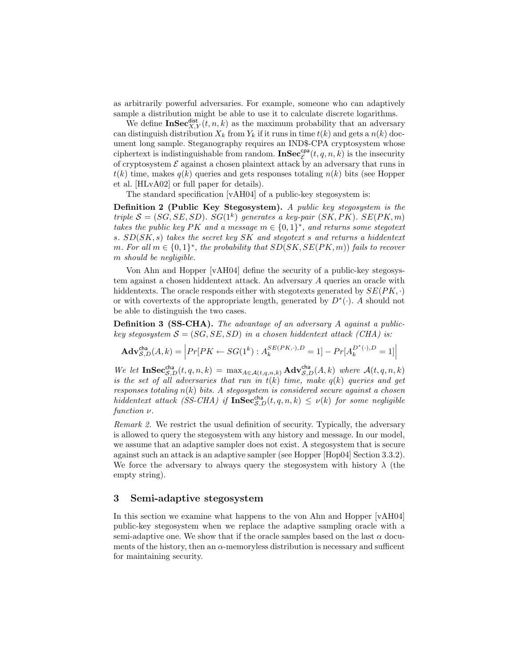as arbitrarily powerful adversaries. For example, someone who can adaptively sample a distribution might be able to use it to calculate discrete logarithms.

We define  $\text{InSec}_{X,Y}^{\text{dist}}(t, n, k)$  as the maximum probability that an adversary can distinguish distribution  $X_k$  from  $Y_k$  if it runs in time  $t(k)$  and gets a  $n(k)$  document long sample. Steganography requires an IND\$-CPA cryptosystem whose ciphertext is indistinguishable from random. **InSec<sup>cpa</sup>** $(t, q, n, k)$  is the insecurity of cryptosystem  $\mathcal E$  against a chosen plaintext attack by an adversary that runs in  $t(k)$  time, makes  $q(k)$  queries and gets responses totaling  $n(k)$  bits (see Hopper et al. [HLvA02] or full paper for details).

The standard specification [vAH04] of a public-key stegosystem is:

Definition 2 (Public Key Stegosystem). A public key stegosystem is the triple  $S = (SG, SE, SD)$ .  $SG(1^k)$  generates a key-pair  $(SK, PK)$ .  $SE(PK, m)$ takes the public key PK and a message  $m \in \{0,1\}^*$ , and returns some stegotext s.  $SD(SK, s)$  takes the secret key SK and stegotext s and returns a hiddentext m. For all  $m \in \{0,1\}^*$ , the probability that  $SD(SK, SE(PK, m))$  fails to recover m should be negligible.

Von Ahn and Hopper [vAH04] define the security of a public-key stegosystem against a chosen hiddentext attack. An adversary A queries an oracle with hiddentexts. The oracle responds either with stegotexts generated by  $SE(PK, \cdot)$ or with covertexts of the appropriate length, generated by  $D^*(\cdot)$ . A should not be able to distinguish the two cases.

Definition 3 (SS-CHA). The advantage of an adversary A against a publickey stegosystem  $S = (SG, SE, SD)$  in a chosen hiddentext attack (CHA) is:

$$
\mathbf{Adv}_{\mathcal{S},D}^{\mathsf{cha}}(A,k) = \left| Pr[PK \leftarrow SG(1^k) : A_k^{SE(PK,:),D} = 1] - Pr[A_k^{D^*(.),D} = 1] \right|
$$

We let  $\text{InSec}_{\mathcal{S},D}^{\text{cha}}(t,q,n,k) = \max_{A \in \mathcal{A}(t,q,n,k)} \text{Adv}_{\mathcal{S},D}^{\text{cha}}(A,k)$  where  $\mathcal{A}(t,q,n,k)$ is the set of all adversaries that run in  $t(k)$  time, make  $q(k)$  queries and get responses totaling  $n(k)$  bits. A stegosystem is considered secure against a chosen hiddentext attack (SS-CHA) if  $\text{InSec}_{S,D}^{\text{cha}}(t, q, n, k) \leq \nu(k)$  for some negligible function ν.

Remark 2. We restrict the usual definition of security. Typically, the adversary is allowed to query the stegosystem with any history and message. In our model, we assume that an adaptive sampler does not exist. A stegosystem that is secure against such an attack is an adaptive sampler (see Hopper [Hop04] Section 3.3.2). We force the adversary to always query the stegosystem with history  $\lambda$  (the empty string).

### 3 Semi-adaptive stegosystem

In this section we examine what happens to the von Ahn and Hopper [vAH04] public-key stegosystem when we replace the adaptive sampling oracle with a semi-adaptive one. We show that if the oracle samples based on the last  $\alpha$  documents of the history, then an  $\alpha$ -memoryless distribution is necessary and sufficent for maintaining security.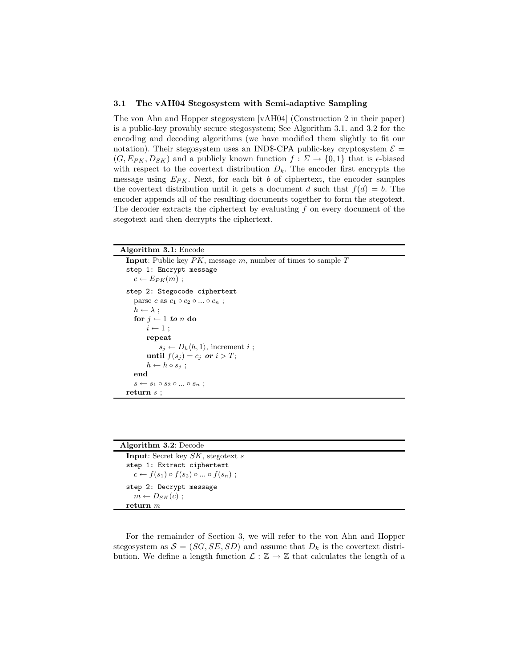### 3.1 The vAH04 Stegosystem with Semi-adaptive Sampling

The von Ahn and Hopper stegosystem [vAH04] (Construction 2 in their paper) is a public-key provably secure stegosystem; See Algorithm 3.1. and 3.2 for the encoding and decoding algorithms (we have modified them slightly to fit our notation). Their stegosystem uses an IND\$-CPA public-key cryptosystem  $\mathcal{E} =$  $(G, E_{PK}, D_{SK})$  and a publicly known function  $f: \Sigma \rightarrow \{0,1\}$  that is  $\epsilon$ -biased with respect to the covertext distribution  $D_k$ . The encoder first encrypts the message using  $E_{PK}$ . Next, for each bit b of ciphertext, the encoder samples the covertext distribution until it gets a document d such that  $f(d) = b$ . The encoder appends all of the resulting documents together to form the stegotext. The decoder extracts the ciphertext by evaluating  $f$  on every document of the stegotext and then decrypts the ciphertext.

```
Algorithm 3.1: Encode
```

```
Input: Public key PK, message m, number of times to sample Tstep 1: Encrypt message
   c \leftarrow E_{PK}(m);
step 2: Stegocode ciphertext
   parse c as c_1 \circ c_2 \circ \dots \circ c_n;
   h \leftarrow \lambda;
   for j \leftarrow 1 to n do
       i \leftarrow 1;
        repeat
             s_i \leftarrow D_k \langle h, 1 \rangle, increment i;
        until f(s_j) = c_j or i > T;
        h \leftarrow h \circ s_j;
   end
   s \leftarrow s_1 \circ s_2 \circ \dots \circ s_n;
return s;
```

| Algorithm 3.2: Decode                                         |  |
|---------------------------------------------------------------|--|
| <b>Input:</b> Secret key $SK$ , stegotext s                   |  |
| step 1: Extract ciphertext                                    |  |
| $c \leftarrow f(s_1) \circ f(s_2) \circ \dots \circ f(s_n)$ ; |  |
| step 2: Decrypt message                                       |  |
| $m \leftarrow D_{SK}(c)$ ;                                    |  |
| return $m$                                                    |  |
|                                                               |  |

For the remainder of Section 3, we will refer to the von Ahn and Hopper stegosystem as  $S = (SG, SE, SD)$  and assume that  $D_k$  is the covertext distribution. We define a length function  $\mathcal{L} : \mathbb{Z} \to \mathbb{Z}$  that calculates the length of a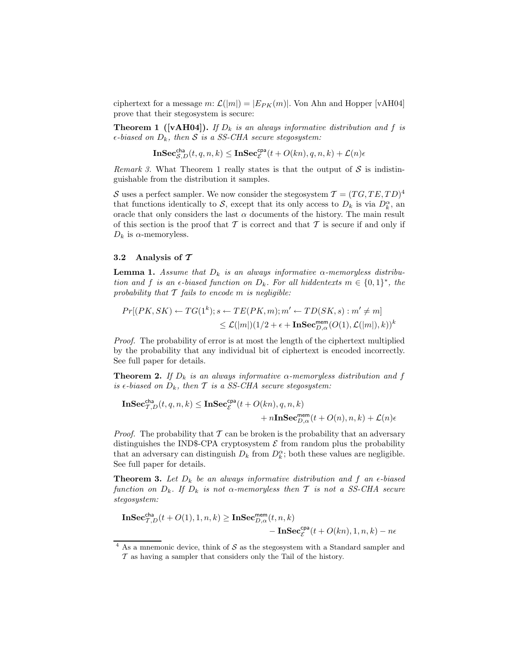ciphertext for a message m:  $\mathcal{L}(|m|) = |E_{PK}(m)|$ . Von Ahn and Hopper [vAH04] prove that their stegosystem is secure:

**Theorem 1** ([vAH04]). If  $D_k$  is an always informative distribution and f is  $\epsilon$ -biased on  $D_k$ , then S is a SS-CHA secure stegosystem:

$$
\mathbf{InSec}_{\mathcal{S},D}^{\mathsf{cha}}(t,q,n,k) \leq \mathbf{InSec}_{\mathcal{E}}^{\mathsf{cpa}}(t+O(kn),q,n,k) + \mathcal{L}(n)\epsilon
$$

*Remark 3.* What Theorem 1 really states is that the output of  $S$  is indistinguishable from the distribution it samples.

S uses a perfect sampler. We now consider the stegosystem  $\mathcal{T} = (TG, TE, TD)^4$ that functions identically to S, except that its only access to  $D_k$  is via  $D_k^{\alpha}$ , and oracle that only considers the last  $\alpha$  documents of the history. The main result of this section is the proof that  $T$  is correct and that  $T$  is secure if and only if  $D_k$  is  $\alpha$ -memoryless.

### 3.2 Analysis of  $\mathcal T$

**Lemma 1.** Assume that  $D_k$  is an always informative  $\alpha$ -memoryless distribution and f is an  $\epsilon$ -biased function on  $D_k$ . For all hiddentexts  $m \in \{0,1\}^*$ , the probability that  $T$  fails to encode  $m$  is negligible:

$$
\begin{aligned} Pr[(PK, SK) \leftarrow TG(1^k); s \leftarrow TE(PK, m); m' \leftarrow TD(SK, s) : m' \neq m] \\ &\leq \mathcal{L}(|m|)(1/2 + \epsilon + \mathbf{InSec}_{D, \alpha}^{\mathsf{mem}}(O(1), \mathcal{L}(|m|), k))^k \end{aligned}
$$

Proof. The probability of error is at most the length of the ciphertext multiplied by the probability that any individual bit of ciphertext is encoded incorrectly. See full paper for details.

**Theorem 2.** If  $D_k$  is an always informative  $\alpha$ -memoryless distribution and f is  $\epsilon$ -biased on  $D_k$ , then  $\mathcal T$  is a SS-CHA secure stegosystem:

$$
\begin{aligned} \mathbf{InSec}_{T,D}^{\mathsf{cha}}(t,q,n,k)&\leq \mathbf{InSec}_{\mathcal{E}}^{\mathsf{cpa}}(t+O(kn),q,n,k)\\ &+n\mathbf{InSec}_{D,\alpha}^{\mathsf{mem}}(t+O(n),n,k)+\mathcal{L}(n)\epsilon \end{aligned}
$$

*Proof.* The probability that  $\mathcal T$  can be broken is the probability that an adversary distinguishes the IND\$-CPA cryptosystem  $\mathcal E$  from random plus the probability that an adversary can distinguish  $D_k$  from  $D_k^{\alpha}$ ; both these values are negligible. See full paper for details.

**Theorem 3.** Let  $D_k$  be an always informative distribution and f an  $\epsilon$ -biased function on  $D_k$ . If  $D_k$  is not  $\alpha$ -memoryless then T is not a SS-CHA secure stegosystem:

$$
\begin{aligned} \mathbf{InSec}_{T,D}^{\mathsf{cha}}(t+O(1),1,n,k)&\geq \mathbf{InSec}_{D,\alpha}^{\mathsf{mem}}(t,n,k)\\ &\qquad\qquad -\mathbf{InSec}_{\mathcal{E}}^{\mathsf{cpa}}(t+O(kn),1,n,k)-n\epsilon \end{aligned}
$$

 $4$  As a mnemonic device, think of  $S$  as the stegosystem with a Standard sampler and  $\mathcal T$  as having a sampler that considers only the Tail of the history.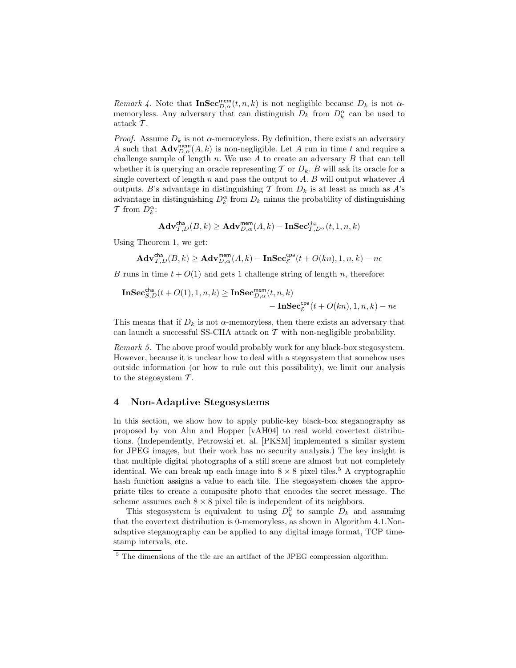Remark 4. Note that  $\text{InSec}_{D,\alpha}^{\text{mem}}(t, n, k)$  is not negligible because  $D_k$  is not  $\alpha$ memoryless. Any adversary that can distinguish  $D_k$  from  $D_k^{\alpha}$  can be used to attack T .

*Proof.* Assume  $D_k$  is not  $\alpha$ -memoryless. By definition, there exists an adversary A such that  $\mathbf{Adv}_{D,\alpha}^{\text{mem}}(A, k)$  is non-negligible. Let A run in time t and require a challenge sample of length  $n$ . We use  $A$  to create an adversary  $B$  that can tell whether it is querying an oracle representing  $\mathcal T$  or  $D_k$ . B will ask its oracle for a single covertext of length  $n$  and pass the output to  $A$ .  $B$  will output whatever  $A$ outputs. B's advantage in distinguishing T from  $D_k$  is at least as much as A's advantage in distinguishing  $D_k^{\alpha}$  from  $D_k$  minus the probability of distinguishing T from  $D_k^{\alpha}$ :

$$
\mathbf{Adv}_{\mathcal{T},D}^{\mathsf{cha}}(B,k) \geq \mathbf{Adv}_{D,\alpha}^{\mathsf{mem}}(A,k) - \mathbf{InSec}_{\mathcal{T},D^{\alpha}}^{\mathsf{cha}}(t,1,n,k)
$$

Using Theorem 1, we get:

$$
\mathbf{Adv}_{\mathcal{T},D}^{\mathsf{cha}}(B,k) \geq \mathbf{Adv}_{D,\alpha}^{\mathsf{mem}}(A,k) - \mathbf{Insec}_{\mathcal{E}}^{\mathsf{cpa}}(t+O(kn),1,n,k) - n\epsilon
$$

B runs in time  $t + O(1)$  and gets 1 challenge string of length n, therefore:

$$
\mathbf{InSec}_{S,D}^{\mathsf{cha}}(t+O(1),1,n,k) \geq \mathbf{InSec}_{D,\alpha}^{\mathsf{mem}}(t,n,k) - \mathbf{InSec}_{\mathcal{E}}^{\mathsf{cpa}}(t+O(kn),1,n,k) - n\epsilon
$$

This means that if  $D_k$  is not  $\alpha$ -memoryless, then there exists an adversary that can launch a successful SS-CHA attack on  $\mathcal T$  with non-negligible probability.

Remark 5. The above proof would probably work for any black-box stegosystem. However, because it is unclear how to deal with a stegosystem that somehow uses outside information (or how to rule out this possibility), we limit our analysis to the stegosystem  $\mathcal{T}$ .

# 4 Non-Adaptive Stegosystems

In this section, we show how to apply public-key black-box steganography as proposed by von Ahn and Hopper [vAH04] to real world covertext distributions. (Independently, Petrowski et. al. [PKSM] implemented a similar system for JPEG images, but their work has no security analysis.) The key insight is that multiple digital photographs of a still scene are almost but not completely identical. We can break up each image into  $8 \times 8$  pixel tiles.<sup>5</sup> A cryptographic hash function assigns a value to each tile. The stegosystem choses the appropriate tiles to create a composite photo that encodes the secret message. The scheme assumes each  $8 \times 8$  pixel tile is independent of its neighbors.

This stegosystem is equivalent to using  $D_k^0$  to sample  $D_k$  and assuming that the covertext distribution is 0-memoryless, as shown in Algorithm 4.1.Nonadaptive steganography can be applied to any digital image format, TCP timestamp intervals, etc.

 $^5$  The dimensions of the tile are an artifact of the JPEG compression algorithm.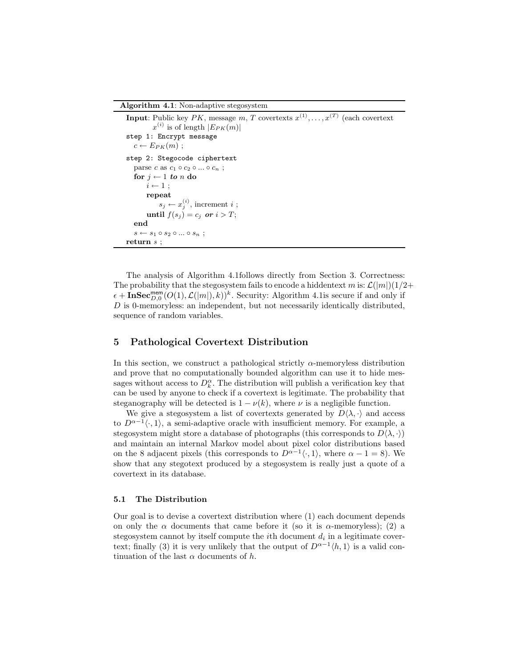#### Algorithm 4.1: Non-adaptive stegosystem

```
Input: Public key PK, message m, T covertexts x^{(1)}, \ldots, x^{(T)} (each covertext
          x^{(i)} is of length |E_{PK}(m)|step 1: Encrypt message
   c \leftarrow E_{PK}(m);
step 2: Stegocode ciphertext
   parse c as c_1 \circ c_2 \circ \dots \circ c_n;
   for j \leftarrow 1 to n do
       i \leftarrow 1;
       repeat
             s_j \leftarrow x_j^{(i)}, increment i;
       until f(s_i) = c_i or i > T;
   end
   s \leftarrow s_1 \circ s_2 \circ \dots \circ s_n;return s ;
```
The analysis of Algorithm 4.1follows directly from Section 3. Correctness: The probability that the stegosystem fails to encode a hiddentext m is:  $\mathcal{L}(|m|)(1/2+\mathcal{L}(|m|))$  $\epsilon + \textbf{InSec}_{D,0}^{\text{mem}}(O(1), \mathcal{L}(|m|), k))^k$ . Security: Algorithm 4.1is secure if and only if D is 0-memoryless: an independent, but not necessarily identically distributed, sequence of random variables.

# 5 Pathological Covertext Distribution

In this section, we construct a pathological strictly  $\alpha$ -memoryless distribution and prove that no computationally bounded algorithm can use it to hide messages without access to  $D_k^{\alpha}$ . The distribution will publish a verification key that can be used by anyone to check if a covertext is legitimate. The probability that steganography will be detected is  $1 - \nu(k)$ , where  $\nu$  is a negligible function.

We give a stegosystem a list of covertexts generated by  $D(\lambda, \cdot)$  and access to  $D^{\alpha-1}\langle \cdot, 1 \rangle$ , a semi-adaptive oracle with insufficient memory. For example, a stegosystem might store a database of photographs (this corresponds to  $D\langle\lambda,\cdot\rangle$ ) and maintain an internal Markov model about pixel color distributions based on the 8 adjacent pixels (this corresponds to  $D^{\alpha-1}\langle \cdot, 1 \rangle$ , where  $\alpha - 1 = 8$ ). We show that any stegotext produced by a stegosystem is really just a quote of a covertext in its database.

### 5.1 The Distribution

Our goal is to devise a covertext distribution where (1) each document depends on only the  $\alpha$  documents that came before it (so it is  $\alpha$ -memoryless); (2) a stegosystem cannot by itself compute the *i*th document  $d_i$  in a legitimate covertext; finally (3) it is very unlikely that the output of  $D^{\alpha-1}(h, 1)$  is a valid continuation of the last  $\alpha$  documents of h.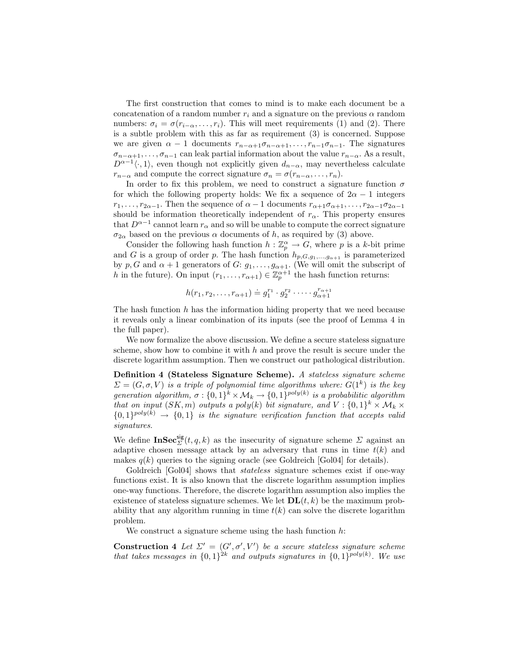The first construction that comes to mind is to make each document be a concatenation of a random number  $r_i$  and a signature on the previous  $\alpha$  random numbers:  $\sigma_i = \sigma(r_{i-\alpha}, \ldots, r_i)$ . This will meet requirements (1) and (2). There is a subtle problem with this as far as requirement (3) is concerned. Suppose we are given  $\alpha - 1$  documents  $r_{n-\alpha+1}\sigma_{n-\alpha+1}, \ldots, r_{n-1}\sigma_{n-1}$ . The signatures  $\sigma_{n-\alpha+1}, \ldots, \sigma_{n-1}$  can leak partial information about the value  $r_{n-\alpha}$ . As a result,  $D^{\alpha-1}\langle \cdot, 1 \rangle$ , even though not explicitly given  $d_{n-\alpha}$ , may nevertheless calculate  $r_{n-\alpha}$  and compute the correct signature  $\sigma_n = \sigma(r_{n-\alpha}, \ldots, r_n)$ .

In order to fix this problem, we need to construct a signature function  $\sigma$ for which the following property holds: We fix a sequence of  $2\alpha - 1$  integers  $r_1, \ldots, r_{2\alpha-1}$ . Then the sequence of  $\alpha-1$  documents  $r_{\alpha+1}\sigma_{\alpha+1}, \ldots, r_{2\alpha-1}\sigma_{2\alpha-1}$ should be information theoretically independent of  $r_{\alpha}$ . This property ensures that  $D^{\alpha-1}$  cannot learn  $r_{\alpha}$  and so will be unable to compute the correct signature  $\sigma_{2\alpha}$  based on the previous  $\alpha$  documents of h, as required by (3) above.

Consider the following hash function  $h : \mathbb{Z}_p^{\alpha} \to G$ , where p is a k-bit prime and G is a group of order p. The hash function  $h_{p,G,g_1,...,g_{\alpha+1}}$  is parameterized by p, G and  $\alpha + 1$  generators of G:  $g_1, \ldots, g_{\alpha+1}$ . (We will omit the subscript of h in the future). On input  $(r_1, \ldots, r_{\alpha+1}) \in \mathbb{Z}_p^{\alpha+1}$  the hash function returns:

$$
h(r_1, r_2, \dots, r_{\alpha+1}) \doteq g_1^{r_1} \cdot g_2^{r_2} \cdot \dots \cdot g_{\alpha+1}^{r_{\alpha+1}}
$$

The hash function  $h$  has the information hiding property that we need because it reveals only a linear combination of its inputs (see the proof of Lemma 4 in the full paper).

We now formalize the above discussion. We define a secure stateless signature scheme, show how to combine it with  $h$  and prove the result is secure under the discrete logarithm assumption. Then we construct our pathological distribution.

Definition 4 (Stateless Signature Scheme). A stateless signature scheme  $\Sigma = (G, \sigma, V)$  is a triple of polynomial time algorithms where:  $G(1^k)$  is the key generation algorithm,  $\sigma: \{0,1\}^k \times \mathcal{M}_k \to \{0,1\}^{poly(k)}$  is a probabilitic algorithm that on input  $(SK, m)$  outputs a poly(k) bit signature, and  $V : \{0,1\}^k \times \mathcal{M}_k \times$  ${0,1}^{poly(k)} \rightarrow {0,1}$  is the signature verification function that accepts valid signatures.

We define  $\text{InSec}_{\Sigma}^{\text{sig}}(t, q, k)$  as the insecurity of signature scheme  $\Sigma$  against an adaptive chosen message attack by an adversary that runs in time  $t(k)$  and makes  $q(k)$  queries to the signing oracle (see Goldreich [Gol04] for details).

Goldreich [Gol04] shows that *stateless* signature schemes exist if one-way functions exist. It is also known that the discrete logarithm assumption implies one-way functions. Therefore, the discrete logarithm assumption also implies the existence of stateless signature schemes. We let  $\mathbf{DL}(t, k)$  be the maximum probability that any algorithm running in time  $t(k)$  can solve the discrete logarithm problem.

We construct a signature scheme using the hash function  $h$ :

**Construction 4** Let  $\Sigma' = (G', \sigma', V')$  be a secure stateless signature scheme that takes messages in  $\{0,1\}^{2k}$  and outputs signatures in  $\{0,1\}^{poly(k)}$ . We use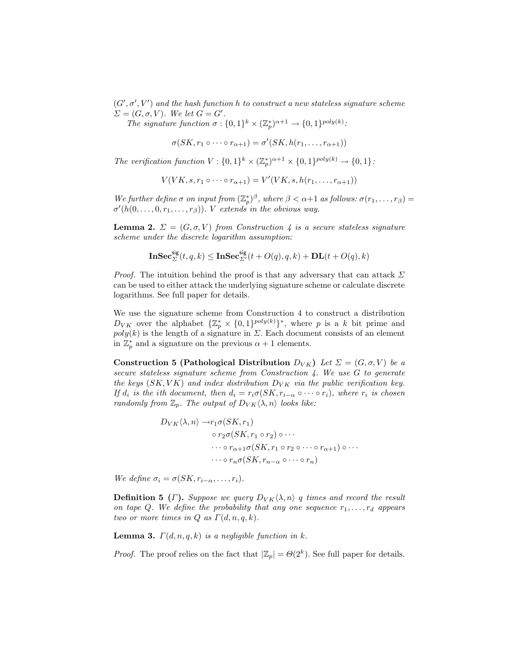$(G', \sigma', V')$  and the hash function h to construct a new stateless signature scheme  $\Sigma = (G, \sigma, V)$ . We let  $G = G'$ .

The signature function  $\sigma: \{0,1\}^k \times (\mathbb{Z}_p^*)^{\alpha+1} \to \{0,1\}^{poly(k)}$ :

$$
\sigma(SK, r_1 \circ \cdots \circ r_{\alpha+1}) = \sigma'(SK, h(r_1, \ldots, r_{\alpha+1}))
$$

The verification function  $V: \{0,1\}^k \times (\mathbb{Z}_p^*)^{\alpha+1} \times \{0,1\}^{poly(k)} \to \{0,1\}$ :

$$
V(VK, s, r_1 \circ \cdots \circ r_{\alpha+1}) = V'(VK, s, h(r_1, \ldots, r_{\alpha+1}))
$$

We further define  $\sigma$  on input from  $(\mathbb{Z}_p^*)^{\beta}$ , where  $\beta < \alpha+1$  as follows:  $\sigma(r_1,\ldots,r_{\beta}) =$  $\sigma'(h(0,\ldots,0,r_1,\ldots,r_\beta)).$  V extends in the obvious way.

**Lemma 2.**  $\Sigma = (G, \sigma, V)$  from Construction 4 is a secure stateless signature scheme under the discrete logarithm assumption:

$$
\mathbf{InSec}_{\Sigma}^{\mathsf{sig}}(t,q,k) \leq \mathbf{InSec}_{\Sigma'}^{\mathsf{sig}}(t+O(q),q,k) + \mathbf{DL}(t+O(q),k)
$$

*Proof.* The intuition behind the proof is that any adversary that can attack  $\Sigma$ can be used to either attack the underlying signature scheme or calculate discrete logarithms. See full paper for details.

We use the signature scheme from Construction 4 to construct a distribution  $D_{VK}$  over the alphabet  $\{\mathbb{Z}_p^* \times \{0,1\}^{poly(k)}\}^*$ , where p is a k bit prime and  $poly(k)$  is the length of a signature in  $\Sigma$ . Each document consists of an element in  $\mathbb{Z}_p^*$  and a signature on the previous  $\alpha + 1$  elements.

Construction 5 (Pathological Distribution  $D_{VK}$ ) Let  $\Sigma = (G, \sigma, V)$  be a secure stateless signature scheme from Construction 4. We use G to generate the keys  $(SK, VK)$  and index distribution  $D_{VK}$  via the public verification key. If  $d_i$  is the ith document, then  $d_i = r_i \sigma(SK, r_{i-\alpha} \circ \cdots \circ r_i)$ , where  $r_i$  is chosen randomly from  $\mathbb{Z}_p$ . The output of  $D_{VK} \langle \lambda, n \rangle$  looks like:

$$
D_{VK}\langle \lambda, n \rangle \rightarrow r_1 \sigma(SK, r_1)
$$
  
\n
$$
\circ r_2 \sigma(SK, r_1 \circ r_2) \circ \cdots
$$
  
\n
$$
\cdots \circ r_{\alpha+1} \sigma(SK, r_1 \circ r_2 \circ \cdots \circ r_{\alpha+1}) \circ \cdots
$$
  
\n
$$
\cdots \circ r_n \sigma(SK, r_{n-\alpha} \circ \cdots \circ r_n)
$$

We define  $\sigma_i = \sigma(SK, r_{i-\alpha}, \ldots, r_i)$ .

**Definition 5** (Γ). Suppose we query  $D_{VK}(\lambda, n)$  q times and record the result on tape Q. We define the probability that any one sequence  $r_1, \ldots, r_d$  appears two or more times in Q as  $\Gamma(d, n, q, k)$ .

**Lemma 3.**  $\Gamma(d, n, q, k)$  is a negligible function in k.

*Proof.* The proof relies on the fact that  $|\mathbb{Z}_p| = \Theta(2^k)$ . See full paper for details.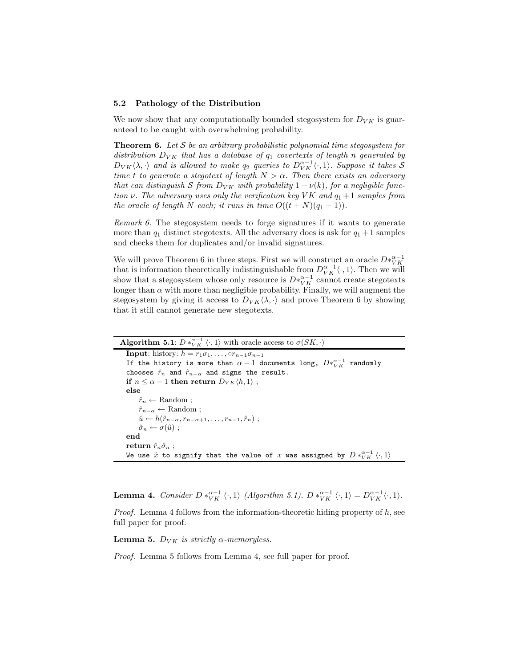### 5.2 Pathology of the Distribution

We now show that any computationally bounded stegosystem for  $D_{VK}$  is guaranteed to be caught with overwhelming probability.

**Theorem 6.** Let  $S$  be an arbitrary probabilistic polynomial time stegosystem for distribution  $D_{VK}$  that has a database of  $q_1$  covertexts of length n generated by  $D_{VK} \langle \lambda, \cdot \rangle$  and is allowed to make  $q_2$  queries to  $D_{VK}^{\alpha-1} \langle \cdot, 1 \rangle$ . Suppose it takes S time t to generate a stegotext of length  $N > \alpha$ . Then there exists an adversary that can distinguish S from  $D_{VK}$  with probability  $1 - \nu(k)$ , for a negligible function v. The adversary uses only the verification key VK and  $q_1+1$  samples from the oracle of length N each; it runs in time  $O((t+N)(q_1+1)).$ 

Remark 6. The stegosystem needs to forge signatures if it wants to generate more than  $q_1$  distinct stegotexts. All the adversary does is ask for  $q_1 + 1$  samples and checks them for duplicates and/or invalid signatures.

We will prove Theorem 6 in three steps. First we will construct an oracle  $D_*^{\alpha-1}_{VK}$ that is information theoretically indistinguishable from  $D_{VK}^{\alpha-1}(\cdot,1)$ . Then we will show that a stegosystem whose only resource is  $D*_{VK}^{\alpha-1}$  cannot create stegotexts longer than  $\alpha$  with more than negligible probability. Finally, we will augment the stegosystem by giving it access to  $D_{VK}(\lambda, \cdot)$  and prove Theorem 6 by showing that it still cannot generate new stegotexts.

```
Algorithm 5.1: D *^{\alpha-1}_{VK} \langle \cdot, 1 \rangle with oracle access to \sigma(SK, \cdot)Input: history: h = r_1 \sigma_1, \ldots, \sigma_{n-1} \sigma_{n-1}If the history is more than \alpha-1 documents long, D*_{VK}^{\alpha-1} randomly
  chooses \hat{r}_n and \hat{r}_{n-\alpha} and signs the result.
  if n \leq \alpha - 1 then return D_{VK} \langle h, 1 \rangle;
  else
       \hat{r}_n \leftarrow \text{Random};
        \hat{r}_{n-\alpha} \leftarrow \text{Random};
        \hat{u} \leftarrow h(\hat{r}_{n-\alpha}, r_{n-\alpha+1}, \ldots, r_{n-1}, \hat{r}_n);
        \hat{\sigma}_n \leftarrow \sigma(\hat{u});
  end
  return \hat{r}_n \hat{\sigma}_n;
   We use \hat{x} to signify that the value of x was assigned by D*_{VK}^{\alpha-1} \langle \cdot, 1 \rangle
```
**Lemma 4.** Consider  $D *^{\alpha-1}_{VK} \langle \cdot, 1 \rangle$  (Algorithm 5.1).  $D *^{\alpha-1}_{VK} \langle \cdot, 1 \rangle = D^{\alpha-1}_{VK} \langle \cdot, 1 \rangle$ .

*Proof.* Lemma 4 follows from the information-theoretic hiding property of  $h$ , see full paper for proof.

**Lemma 5.**  $D_{VK}$  is strictly  $\alpha$ -memoryless.

Proof. Lemma 5 follows from Lemma 4, see full paper for proof.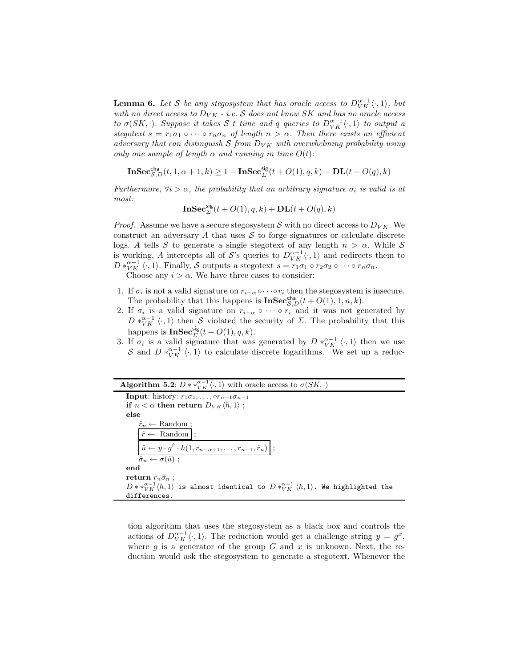**Lemma 6.** Let S be any stegosystem that has oracle access to  $D_{VK}^{\alpha-1}(\cdot,1)$ , but with no direct access to  $D_{VK}$  - i.e. S does not know SK and has no oracle access to  $\sigma(SK, \cdot)$ . Suppose it takes S t time and q queries to  $D_{VK}^{\alpha-1}(\cdot, 1)$  to output a stegotext  $s = r_1 \sigma_1 \circ \cdots \circ r_n \sigma_n$  of length  $n > \alpha$ . Then there exists an efficient adversary that can distinguish  $S$  from  $D_{VK}$  with overwhelming probability using only one sample of length  $\alpha$  and running in time  $O(t)$ :

 $\mathbf{InSec}_{\mathcal{S},D}^{\mathsf{cha}}(t,1,\alpha+1,k) \geq 1 - \mathbf{InSec}_{\Sigma}^{\mathsf{sig}}(t+O(1),q,k) - \mathbf{DL}(t+O(q),k)$ 

Furthermore,  $\forall i > \alpha$ , the probability that an arbitrary signature  $\sigma_i$  is valid is at most:

$$
InSec\Sigmasig(t+O(1), q, k) + DL(t+O(q), k)
$$

*Proof.* Assume we have a secure stegosystem S with no direct access to  $D_{VK}$ . We construct an adversary A that uses  $S$  to forge signatures or calculate discrete logs. A tells S to generate a single stegotext of any length  $n > \alpha$ . While S is working, A intercepts all of S's queries to  $D_{VK}^{\alpha-1}(\cdot,1)$  and redirects them to  $D *_{VK}^{\alpha-1} \langle \cdot, 1 \rangle$ . Finally, S outputs a stegotext  $s = r_1 \sigma_1 \circ r_2 \sigma_2 \circ \cdots \circ r_n \sigma_n$ .

Choose any  $i > \alpha$ . We have three cases to consider:

- 1. If  $\sigma_i$  is not a valid signature on  $r_{i-\alpha} \circ \cdots \circ r_i$  then the stegosystem is insecure. The probability that this happens is  $\text{InSec}_{S,D}^{\text{cha}}(t+O(1),1,n,k).$
- 2. If  $\sigma_i$  is a valid signature on  $r_{i-\alpha} \circ \cdots \circ r_i$  and it was not generated by  $D *_{VK}^{\alpha-1} \langle \cdot, 1 \rangle$  then S violated the security of  $\Sigma$ . The probability that this happens is  $\mathbf{InSec}_{\Sigma}^{\mathsf{sig}}(t+O(1),q,k).$
- 3. If  $\sigma_i$  is a valid signature that was generated by  $D *^{\alpha-1}_{VK} \langle \cdot, 1 \rangle$  then we use S and  $D *_{VK}^{\alpha-1} \langle \cdot, 1 \rangle$  to calculate discrete logarithms. We set up a reduc-

| <b>Algorithm 5.2</b> : $D * *^{\alpha-1}_{VK} \langle \cdot, 1 \rangle$ with oracle access to $\sigma(SK, \cdot)$ |  |  |  |  |  |  |  |  |
|-------------------------------------------------------------------------------------------------------------------|--|--|--|--|--|--|--|--|
|-------------------------------------------------------------------------------------------------------------------|--|--|--|--|--|--|--|--|

**Input:** history:  $r_1 \sigma_1, \ldots, \sigma_{n-1} \sigma_{n-1}$ if  $n < \alpha$  then return  $D_{VK} \langle h, 1 \rangle$ ; else  $\hat{r}_n \leftarrow \text{Random}$ ;<br> $\hat{r} \leftarrow \text{Random}$  $\hat{r} \leftarrow \text{Random}$ ;  $\hat{u} \leftarrow y \cdot g^{\hat{r}} \cdot h(1, r_{n-\alpha+1}, \ldots, r_{n-1}, \hat{r}_n)$ ;  $\hat{\sigma}_n \leftarrow \sigma(\hat{u}) \; ;$ end return  $\hat{r}_n \hat{\sigma}_n$ ;  $D*_{VK}^{\alpha-1}(h,1)$  is almost identical to  $D*_{VK}^{\alpha-1}(h,1)$ . We highlighted the differences

tion algorithm that uses the stegosystem as a black box and controls the actions of  $D_{VK}^{\alpha-1} \langle \cdot, 1 \rangle$ . The reduction would get a challenge string  $y = g^x$ , where g is a generator of the group  $G$  and  $x$  is unknown. Next, the reduction would ask the stegosystem to generate a stegotext. Whenever the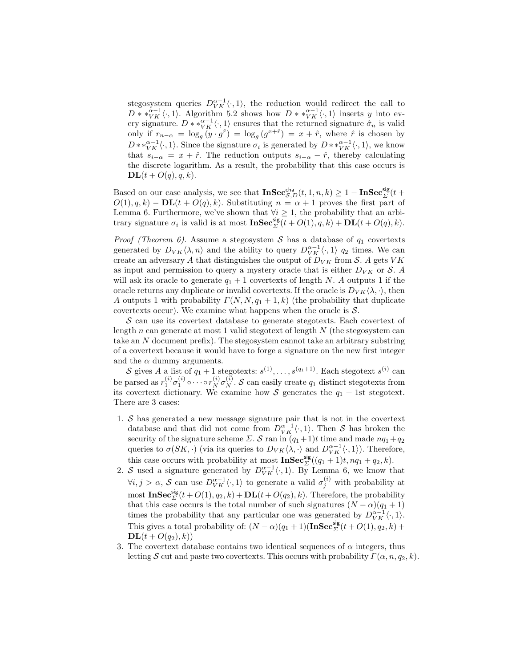stegosystem queries  $D_{VK}^{\alpha-1} \langle \cdot, 1 \rangle$ , the reduction would redirect the call to  $D * *^{\alpha-1}_{VK} \langle \cdot, 1 \rangle$ . Algorithm 5.2 shows how  $D * *^{\alpha-1}_{VK} \langle \cdot, 1 \rangle$  inserts y into every signature.  $D * *^{\alpha-1}_{VK} \langle \cdot, 1 \rangle$  ensures that the returned signature  $\hat{\sigma}_n$  is valid only if  $r_{n-\alpha} = \log_q (y \cdot g^{\hat{r}}) = \log_q (g^{x+\hat{r}}) = x + \hat{r}$ , where  $\hat{r}$  is chosen by  $D \ast \mathcal{C}_W^{-1} \langle \cdot, 1 \rangle$ . Since the signature  $\sigma_i$  is generated by  $D \ast \mathcal{C}_W^{-1} \langle \cdot, 1 \rangle$ , we know that  $s_{i-\alpha} = x + \hat{r}$ . The reduction outputs  $s_{i-\alpha} - \hat{r}$ , thereby calculating the discrete logarithm. As a result, the probability that this case occurs is  $\mathbf{DL}(t+O(q), q, k).$ 

Based on our case analysis, we see that  $\mathbf{InSec}_{\mathcal{S},D}^{\mathsf{cha}}(t,1,n,k) \geq 1 - \mathbf{InSec}_{\mathcal{S}}^{\mathsf{sig}}(t+\alpha)$  $O(1), q, k)$  –  $\mathbf{DL}(t + O(q), k)$ . Substituting  $n = \alpha + 1$  proves the first part of Lemma 6. Furthermore, we've shown that  $\forall i \geq 1$ , the probability that an arbitrary signature  $\sigma_i$  is valid is at most  $\mathbf{InSec}_{\Sigma}^{\mathsf{sig}}(t+O(1), q, k) + \mathbf{DL}(t+O(q), k).$ 

*Proof (Theorem 6).* Assume a stegosystem  $S$  has a database of  $q_1$  covertexts generated by  $D_{VK} \langle \lambda, n \rangle$  and the ability to query  $D_{VK}^{\alpha-1} \langle \cdot, 1 \rangle$   $q_2$  times. We can create an adversary A that distinguishes the output of  $D_{VK}$  from S. A gets VK as input and permission to query a mystery oracle that is either  $D_{VK}$  or S. A will ask its oracle to generate  $q_1 + 1$  covertexts of length N. A outputs 1 if the oracle returns any duplicate or invalid covertexts. If the oracle is  $D_{VK}(\lambda, \cdot)$ , then A outputs 1 with probability  $\Gamma(N, N, q_1 + 1, k)$  (the probability that duplicate covertexts occur). We examine what happens when the oracle is  $S$ .

 $S$  can use its covertext database to generate stegotexts. Each covertext of length  $n$  can generate at most 1 valid stegotext of length  $N$  (the stegosystem can take an N document prefix). The stegosystem cannot take an arbitrary substring of a covertext because it would have to forge a signature on the new first integer and the  $\alpha$  dummy arguments.

S gives A a list of  $q_1 + 1$  stegotexts:  $s^{(1)}, \ldots, s^{(q_1+1)}$ . Each stegotext  $s^{(i)}$  can be parsed as  $r_1^{(i)} \sigma_1^{(i)} \circ \cdots \circ r_N^{(i)} \sigma_N^{(i)}$ . S can easily create  $q_1$  distinct stegotexts from its covertext dictionary. We examine how S generates the  $q_1 + 1$ st stegotext. There are 3 cases:

- 1. S has generated a new message signature pair that is not in the covertext database and that did not come from  $D_{VK}^{\alpha-1}(\cdot,1)$ . Then S has broken the security of the signature scheme  $\Sigma$ . S ran in  $(q_1 + 1)t$  time and made  $nq_1 + q_2$ queries to  $\sigma(SK, \cdot)$  (via its queries to  $D_{VK}\langle \lambda, \cdot \rangle$  and  $D_{VK}^{\alpha-1}(\cdot, 1)$ ). Therefore, this case occurs with probability at most  $\text{InSec}_{\Sigma}^{\text{sig}}((q_1+1)t, nq_1+q_2, k)$ .
- 2. S used a signature generated by  $D_{VK}^{\alpha-1} \langle \cdot, 1 \rangle$ . By Lemma 6, we know that  $\forall i, j > \alpha$ , S can use  $D_{VK}^{\alpha-1} \langle \cdot, 1 \rangle$  to generate a valid  $\sigma_j^{(i)}$  with probability at most  $\mathbf{InSec}^{\mathsf{sig}}_{\Sigma}(t+O(1),q_2,k)+\mathbf{DL}(t+O(q_2),k)$ . Therefore, the probability that this case occurs is the total number of such signatures  $(N - \alpha)(q_1 + 1)$ times the probability that any particular one was generated by  $D_{VK}^{\alpha-1}(\cdot,1)$ . This gives a total probability of:  $(N - \alpha)(q_1 + 1)(\text{InSec}_{\Sigma}^{\text{sig}}(t+O(1), q_2, k) +$  $\mathbf{DL}(t + O(q_2), k)$
- 3. The covertext database contains two identical sequences of  $\alpha$  integers, thus letting S cut and paste two covertexts. This occurs with probability  $\Gamma(\alpha, n, q_2, k)$ .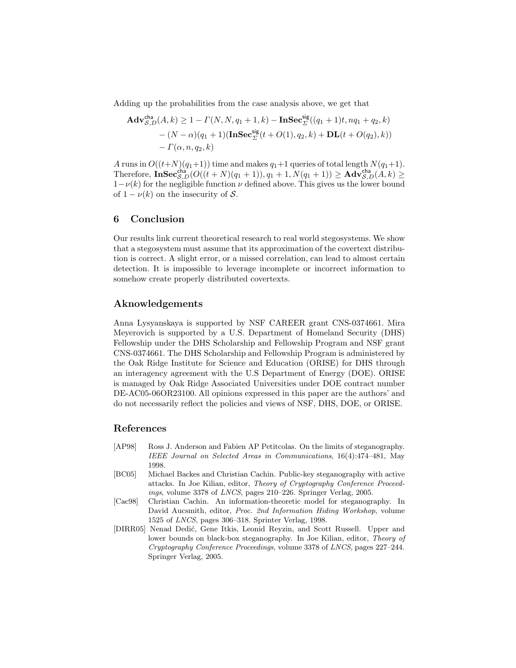Adding up the probabilities from the case analysis above, we get that

$$
\mathbf{Adv}_{\mathcal{S},D}^{\text{cha}}(A,k) \ge 1 - \Gamma(N, N, q_1 + 1, k) - \mathbf{Insec}_{\Sigma}^{\text{sig}}((q_1 + 1)t, nq_1 + q_2, k)
$$
  
 
$$
- (N - \alpha)(q_1 + 1)(\mathbf{Insec}_{\Sigma}^{\text{sig}}(t + O(1), q_2, k) + \mathbf{DL}(t + O(q_2), k))
$$
  
 
$$
- \Gamma(\alpha, n, q_2, k)
$$

A runs in  $O((t+N)(q_1+1))$  time and makes  $q_1+1$  queries of total length  $N(q_1+1)$ . Therefore,  $\text{InSec}_{\mathcal{S},D}^{\text{cha}}(O((t+N)(q_1+1)), q_1+1, N(q_1+1)) \geq \text{Adv}_{\mathcal{S},D}^{\text{cha}}(A, k) \geq$  $1-\nu(k)$  for the negligible function  $\nu$  defined above. This gives us the lower bound of  $1 - \nu(k)$  on the insecurity of S.

## 6 Conclusion

Our results link current theoretical research to real world stegosystems. We show that a stegosystem must assume that its approximation of the covertext distribution is correct. A slight error, or a missed correlation, can lead to almost certain detection. It is impossible to leverage incomplete or incorrect information to somehow create properly distributed covertexts.

# Aknowledgements

Anna Lysyanskaya is supported by NSF CAREER grant CNS-0374661. Mira Meyerovich is supported by a U.S. Department of Homeland Security (DHS) Fellowship under the DHS Scholarship and Fellowship Program and NSF grant CNS-0374661. The DHS Scholarship and Fellowship Program is administered by the Oak Ridge Institute for Science and Education (ORISE) for DHS through an interagency agreement with the U.S Department of Energy (DOE). ORISE is managed by Oak Ridge Associated Universities under DOE contract number DE-AC05-06OR23100. All opinions expressed in this paper are the authors' and do not necessarily reflect the policies and views of NSF, DHS, DOE, or ORISE.

### References

- [AP98] Ross J. Anderson and Fabien AP Petitcolas. On the limits of steganography. IEEE Journal on Selected Areas in Communications, 16(4):474–481, May 1998.
- [BC05] Michael Backes and Christian Cachin. Public-key steganography with active attacks. In Joe Kilian, editor, Theory of Cryptography Conference Proceedings, volume 3378 of LNCS, pages 210–226. Springer Verlag, 2005.
- [Cac98] Christian Cachin. An information-theoretic model for steganography. In David Aucsmith, editor, Proc. 2nd Information Hiding Workshop, volume 1525 of LNCS, pages 306–318. Sprinter Verlag, 1998.
- [DIRR05] Nenad Dedić, Gene Itkis, Leonid Reyzin, and Scott Russell. Upper and lower bounds on black-box steganography. In Joe Kilian, editor, Theory of Cryptography Conference Proceedings, volume 3378 of LNCS, pages 227–244. Springer Verlag, 2005.